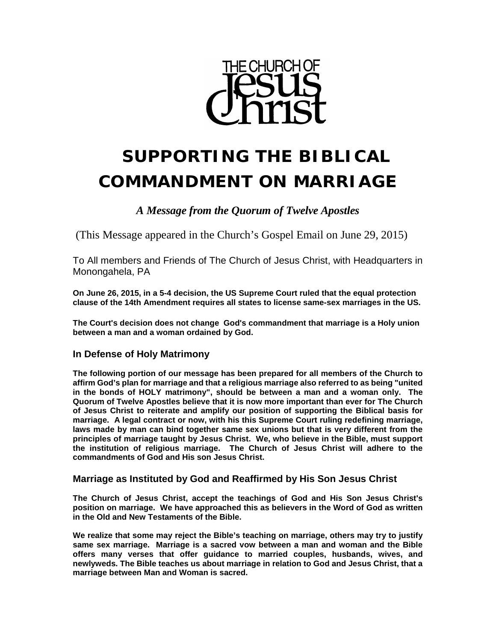

# **SUPPORTING THE BIBLICAL COMMANDMENT ON MARRIAGE**

*A Message from the Quorum of Twelve Apostles*

(This Message appeared in the Church's Gospel Email on June 29, 2015)

To All members and Friends of The Church of Jesus Christ, with Headquarters in Monongahela, PA

**On June 26, 2015, in a 5-4 decision, the US Supreme Court ruled that the equal protection clause of the 14th Amendment requires all states to license same-sex marriages in the US.** 

**The Court's decision does not change God's commandment that marriage is a Holy union between a man and a woman ordained by God.** 

## **In Defense of Holy Matrimony**

**The following portion of our message has been prepared for all members of the Church to affirm God's plan for marriage and that a religious marriage also referred to as being "united in the bonds of HOLY matrimony", should be between a man and a woman only. The Quorum of Twelve Apostles believe that it is now more important than ever for The Church of Jesus Christ to reiterate and amplify our position of supporting the Biblical basis for marriage. A legal contract or now, with his this Supreme Court ruling redefining marriage, laws made by man can bind together same sex unions but that is very different from the principles of marriage taught by Jesus Christ. We, who believe in the Bible, must support the institution of religious marriage. The Church of Jesus Christ will adhere to the commandments of God and His son Jesus Christ.** 

### **Marriage as Instituted by God and Reaffirmed by His Son Jesus Christ**

**The Church of Jesus Christ, accept the teachings of God and His Son Jesus Christ's position on marriage. We have approached this as believers in the Word of God as written in the Old and New Testaments of the Bible.**

**We realize that some may reject the Bible's teaching on marriage, others may try to justify same sex marriage. Marriage is a sacred vow between a man and woman and the Bible offers many verses that offer guidance to married couples, husbands, wives, and newlyweds. The Bible teaches us about marriage in relation to God and Jesus Christ, that a marriage between Man and Woman is sacred.**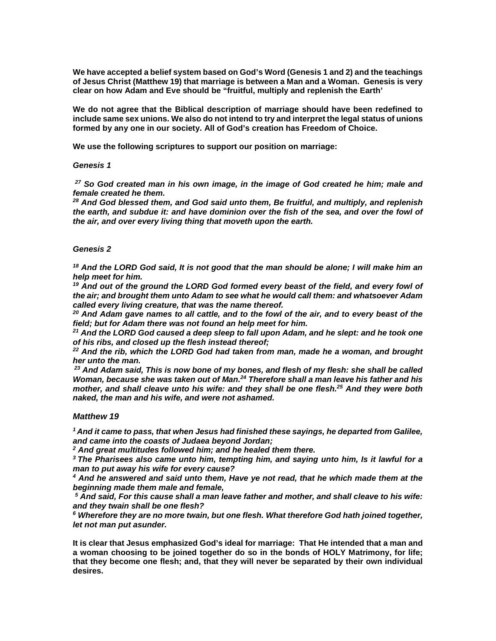**We have accepted a belief system based on God's Word (Genesis 1 and 2) and the teachings of Jesus Christ (Matthew 19) that marriage is between a Man and a Woman. Genesis is very clear on how Adam and Eve should be "fruitful, multiply and replenish the Earth'**

**We do not agree that the Biblical description of marriage should have been redefined to include same sex unions. We also do not intend to try and interpret the legal status of unions formed by any one in our society. All of God's creation has Freedom of Choice.** 

**We use the following scriptures to support our position on marriage:**

#### *Genesis 1*

*<sup>27</sup> So God created man in his own [image, in the image of God created he him; male and](http://www.kingjamesbibleonline.org/Genesis-1-27/)  [female created he them.](http://www.kingjamesbibleonline.org/Genesis-1-27/)*

*<sup>28</sup> [And God blessed them, and God said unto them, Be fruitful, and multiply, and replenish](http://www.kingjamesbibleonline.org/Genesis-1-28/)  [the earth, and subdue it: and have dominion over the fish of the sea, and over the fowl of](http://www.kingjamesbibleonline.org/Genesis-1-28/)  [the air, and over every living thing that moveth upon the earth.](http://www.kingjamesbibleonline.org/Genesis-1-28/)*

#### *Genesis 2*

*<sup>18</sup> And the LORD God said, It is [not good that the man should be alone; I will make him an](http://www.kingjamesbibleonline.org/Genesis-2-18/)  [help meet for him.](http://www.kingjamesbibleonline.org/Genesis-2-18/)*

<sup>19</sup> And out of the ground the LORD God formed every beast of the field, and every fowl of *the air; and brought them [unto Adam to see what he would call them: and whatsoever Adam](http://www.kingjamesbibleonline.org/Genesis-2-19/)  [called every living creature, that was](http://www.kingjamesbibleonline.org/Genesis-2-19/) the name thereof.*

*<sup>20</sup> [And Adam gave names to all cattle, and to the fowl of the air, and to every beast of the](http://www.kingjamesbibleonline.org/Genesis-2-20/)  [field; but for Adam there was not found an help meet for him.](http://www.kingjamesbibleonline.org/Genesis-2-20/)*

*<sup>21</sup> [And the LORD God caused a deep sleep to fall upon Adam, and he slept: and he took one](http://www.kingjamesbibleonline.org/Genesis-2-21/)  [of his ribs, and closed up the flesh instead thereof;](http://www.kingjamesbibleonline.org/Genesis-2-21/)*

*<sup>22</sup> [And the rib, which the LORD God had taken from man, made he a woman, and brought](http://www.kingjamesbibleonline.org/Genesis-2-22/)  [her unto the man.](http://www.kingjamesbibleonline.org/Genesis-2-22/)*

*<sup>23</sup> And Adam said, This is [now bone of my bones, and flesh of my flesh: she shall be called](http://www.kingjamesbibleonline.org/Genesis-2-23/)  [Woman, because she was taken out of Man.2](http://www.kingjamesbibleonline.org/Genesis-2-23/)4 [Therefore shall a man leave his father and his](http://www.kingjamesbibleonline.org/Genesis-2-24/)  [mother, and shall cleave unto his wife: and they shall be one flesh.2](http://www.kingjamesbibleonline.org/Genesis-2-24/)5 [And they were both](http://www.kingjamesbibleonline.org/Genesis-2-25/)  [naked, the man and his wife, and were not ashamed.](http://www.kingjamesbibleonline.org/Genesis-2-25/)*

#### *Matthew 19*

*1 And it came to pass, that when Jesus had finished these sayings, he departed from Galilee, and came into the coasts of Judaea beyond Jordan;*

*<sup>2</sup> [And great multitudes followed him; and he healed them there.](http://www.kingjamesbibleonline.org/Matthew-19-2/)*

*3 [The Pharisees also came unto him, tempting him, and saying unto him, Is it lawful for a](http://www.kingjamesbibleonline.org/Matthew-19-3/)  [man to put away his wife for every cause?](http://www.kingjamesbibleonline.org/Matthew-19-3/)*

*<sup>4</sup> [And he answered and said unto them, Have ye not read, that he which made them](http://www.kingjamesbibleonline.org/Matthew-19-4/) at the [beginning made them male and female,](http://www.kingjamesbibleonline.org/Matthew-19-4/)*

*<sup>5</sup> [And said, For this cause shall a man leave father and mother, and shall cleave to his wife:](http://www.kingjamesbibleonline.org/Matthew-19-5/)  [and they twain shall be one flesh?](http://www.kingjamesbibleonline.org/Matthew-19-5/)*

*<sup>6</sup> [Wherefore they are no more twain, but one flesh. What therefore God hath joined together,](http://www.kingjamesbibleonline.org/Matthew-19-6/)  [let not man put asunder.](http://www.kingjamesbibleonline.org/Matthew-19-6/)*

**It is clear that Jesus emphasized God's ideal for marriage: That He intended that a man and a woman choosing to be joined together do so in the bonds of HOLY Matrimony, for life; that they become one flesh; and, that they will never be separated by their own individual desires.**